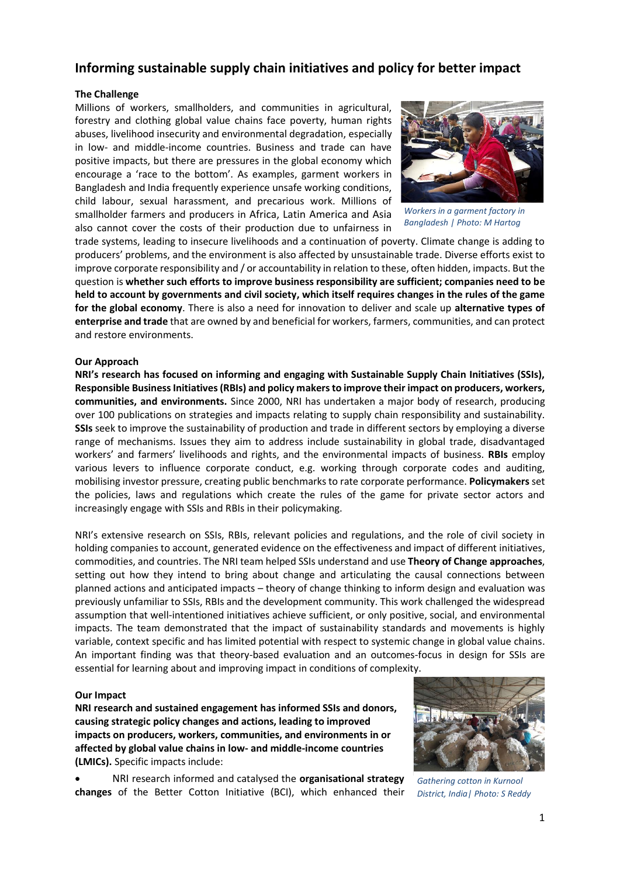# **Informing sustainable supply chain initiatives and policy for better impact**

## **The Challenge**

Millions of workers, smallholders, and communities in agricultural, forestry and clothing global value chains face poverty, human rights abuses, livelihood insecurity and environmental degradation, especially in low- and middle-income countries. Business and trade can have positive impacts, but there are pressures in the global economy which encourage a 'race to the bottom'. As examples, garment workers in Bangladesh and India frequently experience unsafe working conditions, child labour, sexual harassment, and precarious work. Millions of smallholder farmers and producers in Africa, Latin America and Asia also cannot cover the costs of their production due to unfairness in



*Workers in a garment factory in Bangladesh | Photo: M Hartog*

trade systems, leading to insecure livelihoods and a continuation of poverty. Climate change is adding to producers' problems, and the environment is also affected by unsustainable trade. Diverse efforts exist to improve corporate responsibility and / or accountability in relation to these, often hidden, impacts. But the question is **whether such efforts to improve business responsibility are sufficient; companies need to be held to account by governments and civil society, which itself requires changes in the rules of the game for the global economy**. There is also a need for innovation to deliver and scale up **alternative types of enterprise and trade** that are owned by and beneficial for workers, farmers, communities, and can protect and restore environments.

## **Our Approach**

**NRI's research has focused on informing and engaging with Sustainable Supply Chain Initiatives (SSIs), Responsible Business Initiatives (RBIs) and policy makers to improve their impact on producers, workers, communities, and environments.** Since 2000, NRI has undertaken a major body of research, producing over 100 publications on strategies and impacts relating to supply chain responsibility and sustainability. **SSIs** seek to improve the sustainability of production and trade in different sectors by employing a diverse range of mechanisms. Issues they aim to address include sustainability in global trade, disadvantaged workers' and farmers' livelihoods and rights, and the environmental impacts of business. **RBIs** employ various levers to influence corporate conduct, e.g. working through corporate codes and auditing, mobilising investor pressure, creating public benchmarks to rate corporate performance. **Policymakers** set the policies, laws and regulations which create the rules of the game for private sector actors and increasingly engage with SSIs and RBIs in their policymaking.

NRI's extensive research on SSIs, RBIs, relevant policies and regulations, and the role of civil society in holding companies to account, generated evidence on the effectiveness and impact of different initiatives, commodities, and countries. The NRI team helped SSIs understand and use **Theory of Change approaches**, setting out how they intend to bring about change and articulating the causal connections between planned actions and anticipated impacts – theory of change thinking to inform design and evaluation was previously unfamiliar to SSIs, RBIs and the development community. This work challenged the widespread assumption that well-intentioned initiatives achieve sufficient, or only positive, social, and environmental impacts. The team demonstrated that the impact of sustainability standards and movements is highly variable, context specific and has limited potential with respect to systemic change in global value chains. An important finding was that theory-based evaluation and an outcomes-focus in design for SSIs are essential for learning about and improving impact in conditions of complexity.

## **Our Impact**

**NRI research and sustained engagement has informed SSIs and donors, causing strategic policy changes and actions, leading to improved impacts on producers, workers, communities, and environments in or affected by global value chains in low- and middle-income countries (LMICs).** Specific impacts include:

• NRI research informed and catalysed the **organisational strategy changes** of the Better Cotton Initiative (BCI), which enhanced their



*Gathering cotton in Kurnool District, India| Photo: S Reddy*